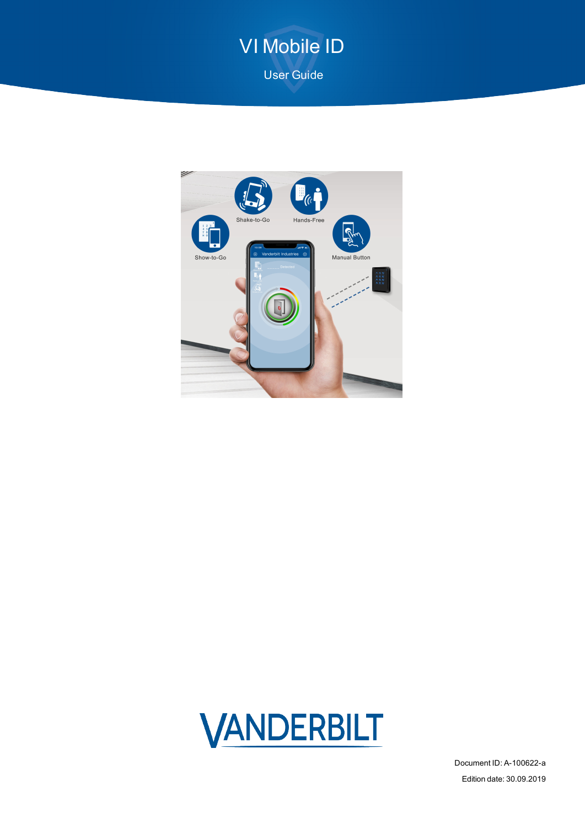# VI Mobile ID

User Guide





Document ID: A-100622-a Edition date: 30.09.2019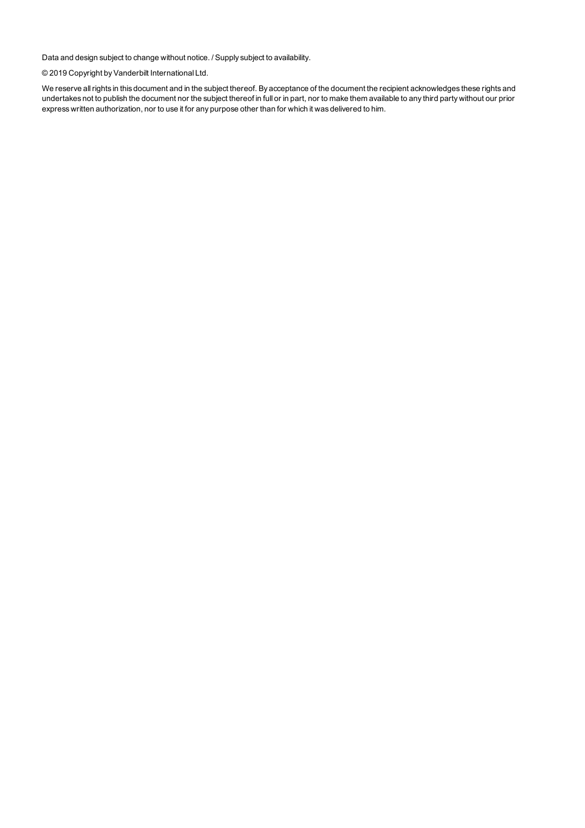Data and design subject to change without notice. / Supply subject to availability.

© 2019 Copyright byVanderbilt International Ltd.

We reserve allrights in this document and in the subject thereof. By acceptance of the document the recipient acknowledges these rights and undertakes not to publish the document nor the subject thereof in full or in part, nor to make them available to any third party without our prior express written authorization, nor to use it for any purpose other than for which it was delivered to him.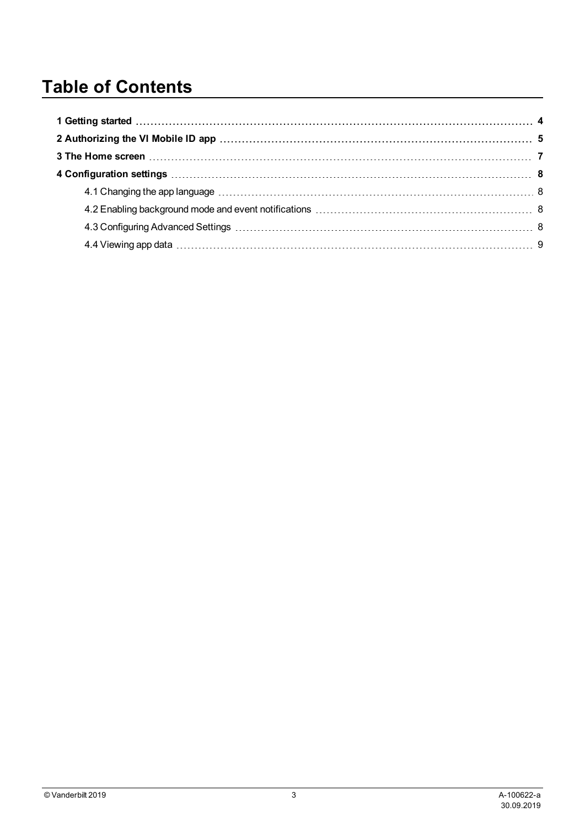## **Table of Contents**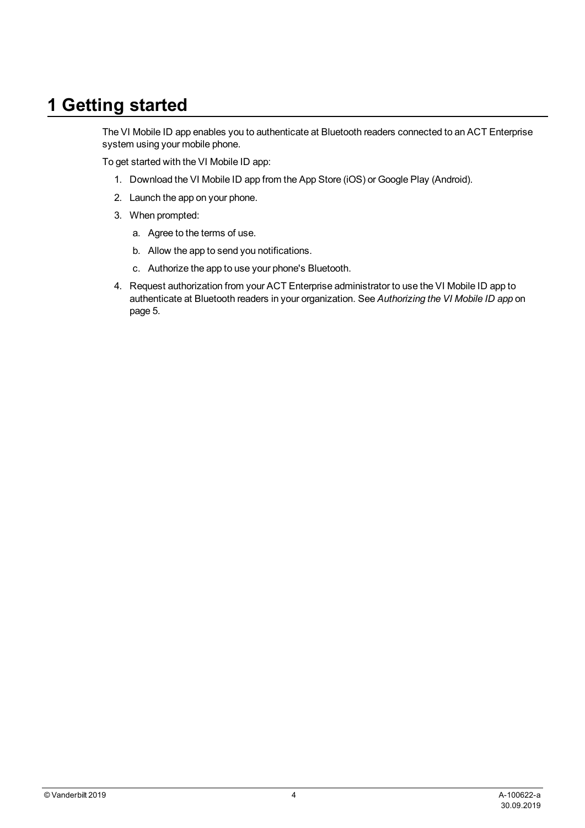### <span id="page-3-0"></span>**1 Getting started**

The VI Mobile ID app enables you to authenticate at Bluetooth readers connected to an ACT Enterprise system using your mobile phone.

To get started with the VI Mobile ID app:

- 1. Download the VI Mobile ID app from the App Store (iOS) or Google Play (Android).
- 2. Launch the app on your phone.
- 3. When prompted:
	- a. Agree to the terms of use.
	- b. Allow the app to send you notifications.
	- c. Authorize the app to use your phone's Bluetooth.
- 4. Request authorization from your ACT Enterprise administrator to use the VI Mobile ID app to authenticate at Bluetooth readers in your organization. See *[Authorizing](#page-4-0) the VI Mobile ID app* on [page 5](#page-4-0).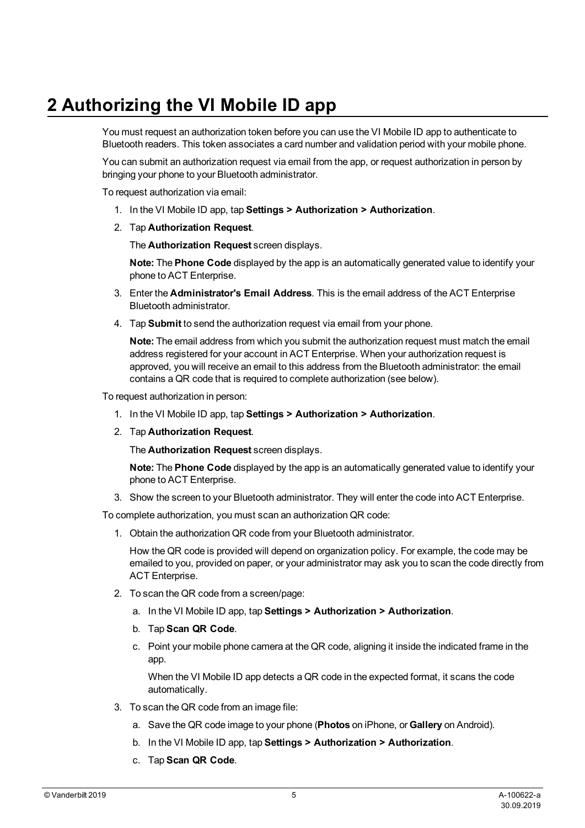## <span id="page-4-0"></span>**2 Authorizing the VI Mobile ID app**

You must request an authorization token before you can use the VI Mobile ID app to authenticate to Bluetooth readers. This token associates a card number and validation period with your mobile phone.

You can submit an authorization request via email from the app, or request authorization in person by bringing your phone to your Bluetooth administrator.

To request authorization via email:

- 1. In the VI Mobile ID app, tap **Settings > Authorization > Authorization**.
- 2. Tap **Authorization Request**.

The **Authorization Request** screen displays.

**Note:** The **Phone Code** displayed by the app is an automatically generated value to identify your phone to ACT Enterprise.

- 3. Enter the **Administrator's Email Address**. This is the email address of the ACT Enterprise Bluetooth administrator.
- 4. Tap **Submit** to send the authorization request via email from your phone.

**Note:** The email address from which you submit the authorization request must match the email address registered for your account in ACT Enterprise. When your authorization request is approved, you will receive an email to this address from the Bluetooth administrator: the email contains a QR code that is required to complete authorization (see below).

To request authorization in person:

- 1. In the VI Mobile ID app, tap **Settings > Authorization > Authorization**.
- 2. Tap **Authorization Request**.

The **Authorization Request** screen displays.

**Note:** The **Phone Code** displayed by the app is an automatically generated value to identify your phone to ACT Enterprise.

3. Show the screen to your Bluetooth administrator. They will enter the code into ACT Enterprise.

To complete authorization, you must scan an authorization QR code:

1. Obtain the authorization QR code from your Bluetooth administrator.

How the QR code is provided will depend on organization policy. For example, the code may be emailed to you, provided on paper, or your administrator may ask you to scan the code directly from ACT Enterprise.

- 2. To scan the QR code from a screen/page:
	- a. In the VI Mobile ID app, tap **Settings > Authorization > Authorization**.
	- b. Tap **Scan QR Code**.
	- c. Point your mobile phone camera at the QR code, aligning it inside the indicated frame in the app.

When the VI Mobile ID app detects a QR code in the expected format, it scans the code automatically.

- 3. To scan the QR code from an image file:
	- a. Save the QR code image to your phone (**Photos** on iPhone, or **Gallery** on Android).
	- b. In the VI Mobile ID app, tap **Settings > Authorization > Authorization**.
	- c. Tap **Scan QR Code**.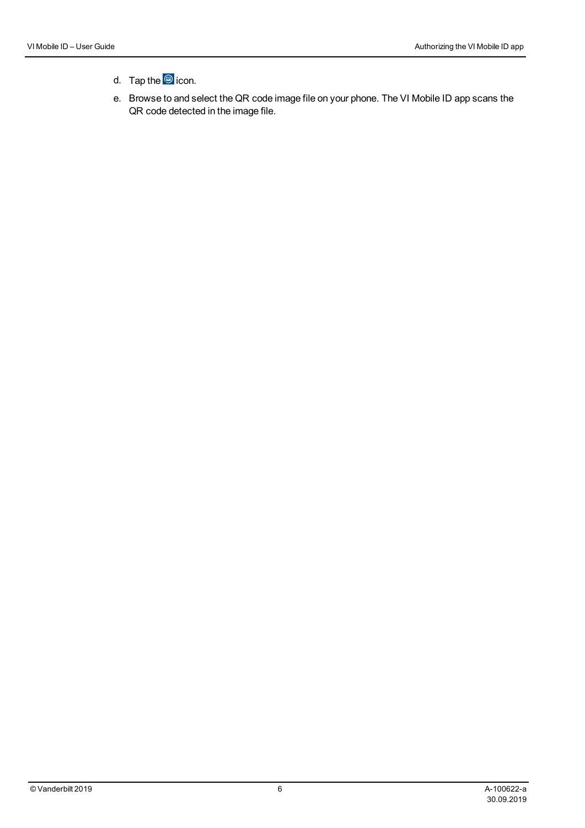#### d. Tap the **o** icon.

e. Browse to and select the QR code image file on your phone. The VI Mobile ID app scans the QR code detected in the image file.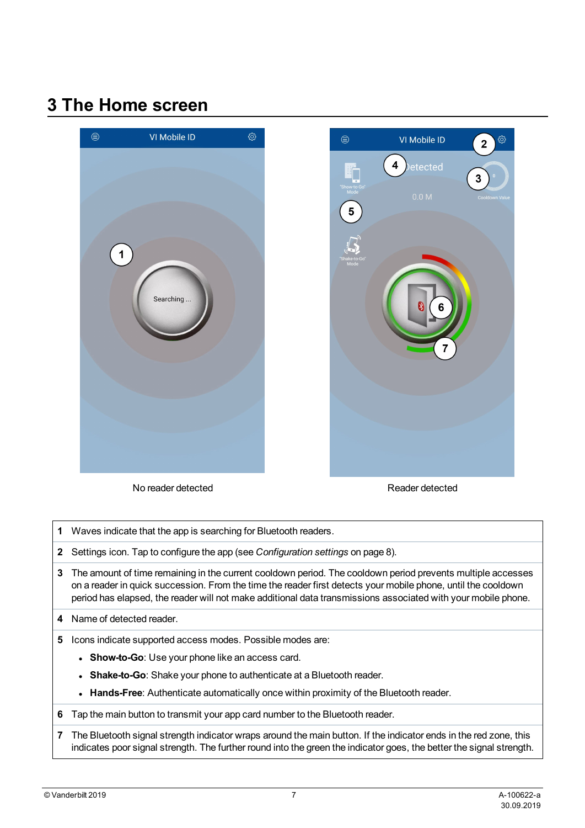### <span id="page-6-0"></span>**3 The Home screen**





No reader detected Reader detected

- **1** Waves indicate that the app is searching for Bluetooth readers.
- **2** Settings icon. Tap to configure the app (see *[Configuration](#page-7-0) settings* on page 8).
- **3** The amount of time remaining in the current cooldown period. The cooldown period prevents multiple accesses on a reader in quick succession. From the time the reader first detects your mobile phone, until the cooldown period has elapsed, the reader will not make additional data transmissions associated with your mobile phone.
- **4** Name of detected reader.
- **5** Icons indicate supported access modes. Possible modes are:
	- **Show-to-Go**: Use your phone like an access card.
	- **Shake-to-Go**: Shake your phone to authenticate at a Bluetooth reader.
	- **Hands-Free**: Authenticate automatically once within proximity of the Bluetooth reader.
- **6** Tap the main button to transmit your app card number to the Bluetooth reader.
- **7** The Bluetooth signal strength indicator wraps around the main button. If the indicator ends in the red zone, this indicates poor signal strength. The further round into the green the indicator goes, the better the signal strength.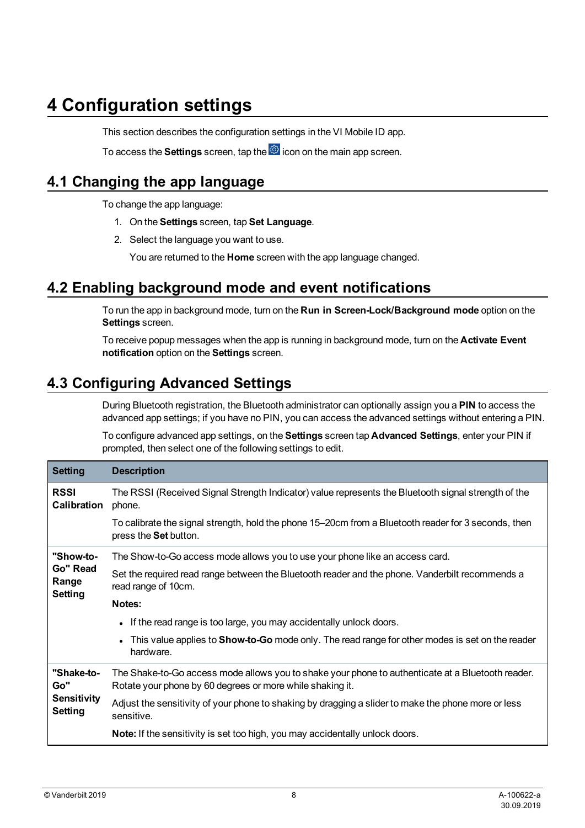### <span id="page-7-0"></span>**4 Configuration settings**

This section describes the configuration settings in the VI Mobile ID app.

To access the **Settings** screen, tap the  $\ddot{\otimes}$  icon on the main app screen.

#### <span id="page-7-1"></span>**4.1 Changing the app language**

To change the app language:

- 1. On the **Settings** screen, tap **Set Language**.
- 2. Select the language you want to use.

You are returned to the **Home** screen with the app language changed.

#### <span id="page-7-2"></span>**4.2 Enabling background mode and event notifications**

To run the app in background mode, turn on the **Run in Screen-Lock/Background mode** option on the **Settings** screen.

To receive popup messages when the app is running in background mode, turn on the **Activate Event notification** option on the **Settings** screen.

#### <span id="page-7-3"></span>**4.3 Configuring Advanced Settings**

During Bluetooth registration, the Bluetooth administrator can optionally assign you a **PIN** to access the advanced app settings; if you have no PIN, you can access the advanced settings without entering a PIN.

To configure advanced app settings, on the **Settings** screen tap **Advanced Settings**, enter your PIN if prompted, then select one of the following settings to edit.

| <b>Setting</b>                                            | <b>Description</b>                                                                                                                                             |
|-----------------------------------------------------------|----------------------------------------------------------------------------------------------------------------------------------------------------------------|
| <b>RSSI</b><br>Calibration                                | The RSSI (Received Signal Strength Indicator) value represents the Bluetooth signal strength of the<br>phone.                                                  |
|                                                           | To calibrate the signal strength, hold the phone 15–20cm from a Bluetooth reader for 3 seconds, then<br>press the Set button.                                  |
| "Show-to-<br>Go" Read<br>Range<br><b>Setting</b>          | The Show-to-Go access mode allows you to use your phone like an access card.                                                                                   |
|                                                           | Set the required read range between the Bluetooth reader and the phone. Vanderbilt recommends a<br>read range of 10cm.                                         |
|                                                           | Notes:                                                                                                                                                         |
|                                                           | • If the read range is too large, you may accidentally unlock doors.                                                                                           |
|                                                           | • This value applies to <b>Show-to-Go</b> mode only. The read range for other modes is set on the reader<br>hardware.                                          |
| "Shake-to-<br>Go"<br><b>Sensitivity</b><br><b>Setting</b> | The Shake-to-Go access mode allows you to shake your phone to authenticate at a Bluetooth reader.<br>Rotate your phone by 60 degrees or more while shaking it. |
|                                                           | Adjust the sensitivity of your phone to shaking by dragging a slider to make the phone more or less<br>sensitive.                                              |
|                                                           | <b>Note:</b> If the sensitivity is set too high, you may accidentally unlock doors.                                                                            |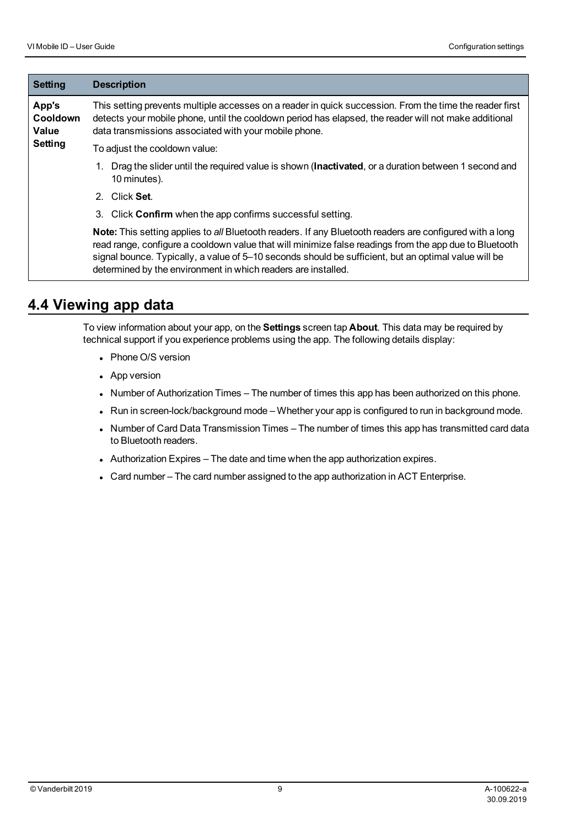| <b>Setting</b>                               | <b>Description</b>                                                                                                                                                                                                                                                                                                                                                                          |
|----------------------------------------------|---------------------------------------------------------------------------------------------------------------------------------------------------------------------------------------------------------------------------------------------------------------------------------------------------------------------------------------------------------------------------------------------|
| App's<br>Cooldown<br>Value<br><b>Setting</b> | This setting prevents multiple accesses on a reader in quick succession. From the time the reader first<br>detects your mobile phone, until the cooldown period has elapsed, the reader will not make additional<br>data transmissions associated with your mobile phone.                                                                                                                   |
|                                              | To adjust the cooldown value:                                                                                                                                                                                                                                                                                                                                                               |
|                                              | Drag the slider until the required value is shown (Inactivated, or a duration between 1 second and<br>1.<br>10 minutes).                                                                                                                                                                                                                                                                    |
|                                              | Click Set.<br>2.                                                                                                                                                                                                                                                                                                                                                                            |
|                                              | Click Confirm when the app confirms successful setting.<br>3.                                                                                                                                                                                                                                                                                                                               |
|                                              | Note: This setting applies to all Bluetooth readers. If any Bluetooth readers are configured with a long<br>read range, configure a cooldown value that will minimize false readings from the app due to Bluetooth<br>signal bounce. Typically, a value of 5–10 seconds should be sufficient, but an optimal value will be<br>determined by the environment in which readers are installed. |

#### <span id="page-8-0"></span>**4.4 Viewing app data**

To view information about your app, on the **Settings** screen tap **About**. This data may be required by technical support if you experience problems using the app. The following details display:

- Phone O/S version
- App version
- Number of Authorization Times The number of times this app has been authorized on this phone.
- Run in screen-lock/background mode Whether your app is configured to run in background mode.
- Number of Card Data Transmission Times The number of times this app has transmitted card data to Bluetooth readers.
- Authorization Expires The date and time when the app authorization expires.
- Card number The card number assigned to the app authorization in ACT Enterprise.